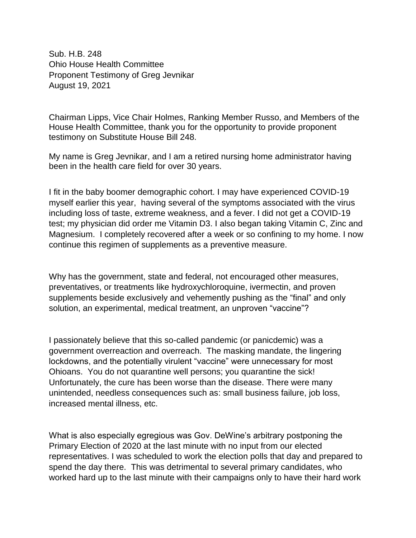Sub. H.B. 248 Ohio House Health Committee Proponent Testimony of Greg Jevnikar August 19, 2021

Chairman Lipps, Vice Chair Holmes, Ranking Member Russo, and Members of the House Health Committee, thank you for the opportunity to provide proponent testimony on Substitute House Bill 248.

My name is Greg Jevnikar, and I am a retired nursing home administrator having been in the health care field for over 30 years.

I fit in the baby boomer demographic cohort. I may have experienced COVID-19 myself earlier this year, having several of the symptoms associated with the virus including loss of taste, extreme weakness, and a fever. I did not get a COVID-19 test; my physician did order me Vitamin D3. I also began taking Vitamin C, Zinc and Magnesium. I completely recovered after a week or so confining to my home. I now continue this regimen of supplements as a preventive measure.

Why has the government, state and federal, not encouraged other measures, preventatives, or treatments like hydroxychloroquine, ivermectin, and proven supplements beside exclusively and vehemently pushing as the "final" and only solution, an experimental, medical treatment, an unproven "vaccine"?

I passionately believe that this so-called pandemic (or panicdemic) was a government overreaction and overreach. The masking mandate, the lingering lockdowns, and the potentially virulent "vaccine" were unnecessary for most Ohioans. You do not quarantine well persons; you quarantine the sick! Unfortunately, the cure has been worse than the disease. There were many unintended, needless consequences such as: small business failure, job loss, increased mental illness, etc.

What is also especially egregious was Gov. DeWine's arbitrary postponing the Primary Election of 2020 at the last minute with no input from our elected representatives. I was scheduled to work the election polls that day and prepared to spend the day there. This was detrimental to several primary candidates, who worked hard up to the last minute with their campaigns only to have their hard work